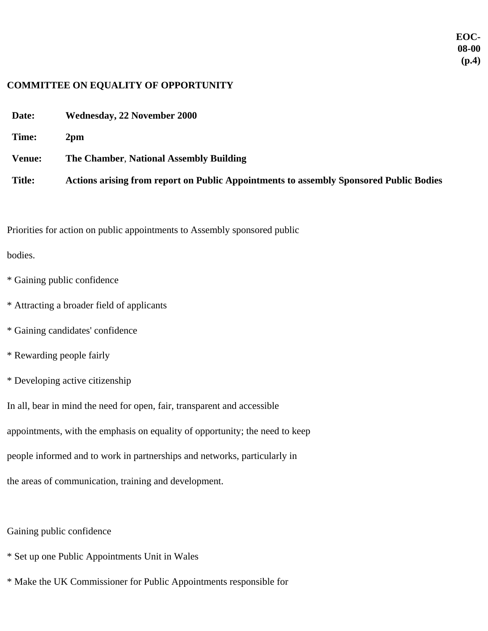## **COMMITTEE ON EQUALITY OF OPPORTUNITY**

- **Date: Wednesday, 22 November 2000**
- **Time: 2pm**
- **Venue: The Chamber**, **National Assembly Building**
- **Title: Actions arising from report on Public Appointments to assembly Sponsored Public Bodies**

Priorities for action on public appointments to Assembly sponsored public

## bodies.

- \* Gaining public confidence
- \* Attracting a broader field of applicants
- \* Gaining candidates' confidence
- \* Rewarding people fairly
- \* Developing active citizenship

In all, bear in mind the need for open, fair, transparent and accessible appointments, with the emphasis on equality of opportunity; the need to keep people informed and to work in partnerships and networks, particularly in the areas of communication, training and development.

Gaining public confidence

- \* Set up one Public Appointments Unit in Wales
- \* Make the UK Commissioner for Public Appointments responsible for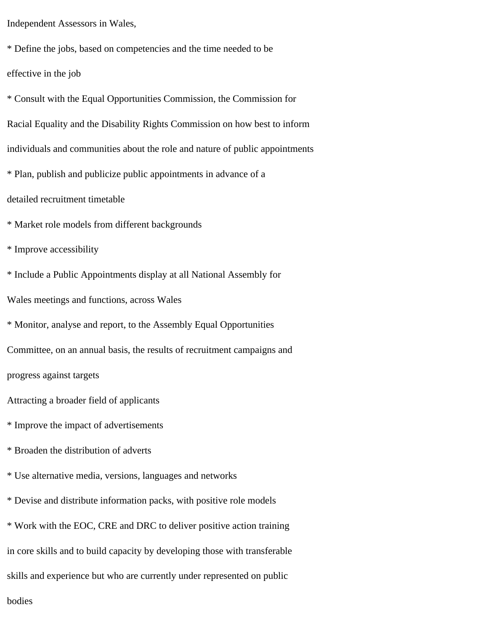Independent Assessors in Wales,

\* Define the jobs, based on competencies and the time needed to be effective in the job

\* Consult with the Equal Opportunities Commission, the Commission for Racial Equality and the Disability Rights Commission on how best to inform individuals and communities about the role and nature of public appointments \* Plan, publish and publicize public appointments in advance of a detailed recruitment timetable \* Market role models from different backgrounds

\* Improve accessibility

\* Include a Public Appointments display at all National Assembly for

Wales meetings and functions, across Wales

\* Monitor, analyse and report, to the Assembly Equal Opportunities

Committee, on an annual basis, the results of recruitment campaigns and

progress against targets

Attracting a broader field of applicants

\* Improve the impact of advertisements

\* Broaden the distribution of adverts

\* Use alternative media, versions, languages and networks

\* Devise and distribute information packs, with positive role models

\* Work with the EOC, CRE and DRC to deliver positive action training

in core skills and to build capacity by developing those with transferable

skills and experience but who are currently under represented on public

bodies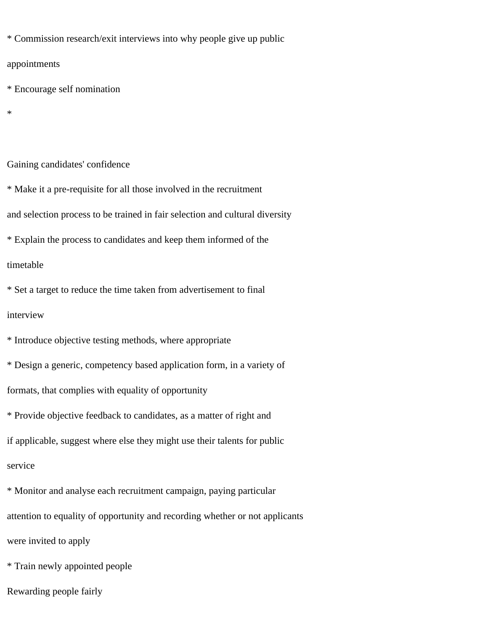\* Commission research/exit interviews into why people give up public

appointments

\* Encourage self nomination

\*

Gaining candidates' confidence

\* Make it a pre-requisite for all those involved in the recruitment

and selection process to be trained in fair selection and cultural diversity

\* Explain the process to candidates and keep them informed of the

timetable

\* Set a target to reduce the time taken from advertisement to final interview

\* Introduce objective testing methods, where appropriate \* Design a generic, competency based application form, in a variety of formats, that complies with equality of opportunity \* Provide objective feedback to candidates, as a matter of right and if applicable, suggest where else they might use their talents for public service

\* Monitor and analyse each recruitment campaign, paying particular attention to equality of opportunity and recording whether or not applicants were invited to apply

\* Train newly appointed people

Rewarding people fairly